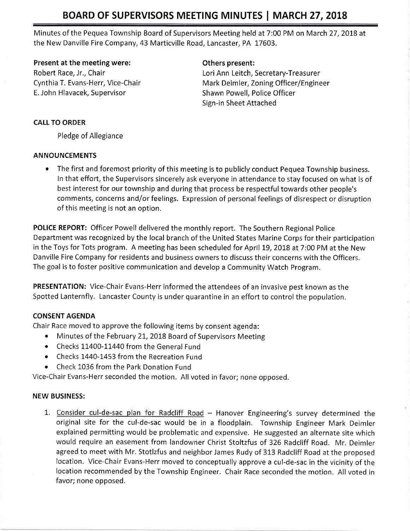# BOARD OF SUPERVISORS MEETING MINUTES | MARCH 27, 2018

Minutes of the Pequea Township Board of Supervisors Meeting held at 7:00 PM on March 27, 2018 at the New Danville Fire Company,43 Marticville Road, Lancaster, PA 17603.

Present at the meeting were: Change of Communisty Communisty Present:

E. John Hlavacek, Supervisor Shawn Powell, Police Officer

Robert Race, Jr., Chair Lori Ann Leitch, Secretary-Treasurer Cynthia T. Evans-Herr, Vice-Chair Mark Deimler, Zoning Officer/Engineer Sign-in Sheet Attached

## CALL TO ORDER

Pledge of Allegiance

## ANNOUNCEMENTS

• The first and foremost priority of this meeting is to publicly conduct Pequea Township business. In that effort, the Supervisors sincerely ask everyone in attendance to stay focused on what is of best interest for our township and during that process be respectful towards other people's comments, concerns and/or feelings. Expression of personal feelings of disrespect or disruption of this meeting is not an option.

POLICE REPORT: Officer Powell delivered the monthly report. The Southern Regional Police Department was recognized by the local branch of the United States Marine Corps for their participation in the Toys for Tots program. A meeting has been scheduled for April 19, 2018 at 7:00 PM at the New Danville Fire Company for residents and business owners to discuss their concerns with the Officers. The goal is to foster positive communication and develop a Community Watch Program.

PRESENTATION: Vice-Chair Evans-Herr informed the attendees of an invasive pest known as the Spotted Lanternfly. Lancaster County is under quarantine in an effort to control the population.

## CONSENT AGENDA

Chair Race moved to approve the following items by consent agenda:

- Minutes of the February 21, 2018 Board of Supervisors Meeting
- Checks 11400-11440 from the General Fund
- Checks 1440-1453 from the Recreation Fund
- Check 1036 from the Park Donation Fund

Vice-Chair Evans-Herr seconded the motion. All voted in favor; none opposed.

## NEW BUSINESS:

1. Consider cul-de-sac plan for Radcliff Road - Hanover Engineering's survey determined the original site for the cul-de-sac would be in a floodplain. Township Engineer Mark Deimler explained permitting would be problematic and expensive. He suggested an alternate site which would require an easement from landowner Christ Stoltzfus of 326 Radcliff Road. Mr. Deimler agreed to meet with Mr. Stotlzfus and neighbor James Rudy of 313 Radcliff Road at the proposed location. Vice-Chair Evans-Herr moved to conceptually approve a cul-de-sac in the vicinity of the location recommended by the Township Engineer. Chair Race seconded the motion. All voted in favor; none opposed.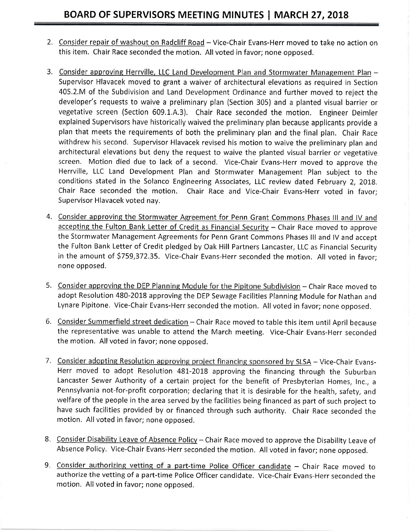- 2. Consider repair of washout on Radcliff Road Vice-Chair Evans-Herr moved to take no action on this item. Chair Race seconded the motion. All voted in favor; none opposed.
- 3. Consider approving Herrville, LLC Land Development Plan and Stormwater Management Plan -Supervisor Hlavacek moved to grant a waiver of architectural elevations as required in Section 405.2.M of the Subdivision and Land Development Ordinance and further moved to reject the developer's requests to waive a preliminary plan (section 305) and a planted visual barrier or vegetative screen (Section 609,1,A.3). Chair Race seconded the motion. Engineer Deimler explained Supervisors have historically waived the preliminary plan because applicants provide <sup>a</sup> plan that meets the requirements of both the preliminary plan and the final plan, Chair Race withdrew his second, Supervisor Hlavacek revised his motion to waive the preliminary plan and architectural elevations but deny the request to waive the planted visual barrier or vegetative screen. Motion died due to lack of a second. Vice-Chair Evans-Herr moved to approve the Herrville, LLC Land Development Plan and Stormwater Management Plan subject to the conditions stated in the Solanco Engineering Associates, LLC review dated February 2, 2018. Chair Race seconded the motion. Chair Race and Vice-Chair Evans-Herr voted in favor; Supervisor Hlavacek voted nay.
- 4. Consider approving the Stormwater Agreement for Penn Grant Commons Phases III and IV and accepting the Fulton Bank Letter of Credit as Financial Security  $-$  Chair Race moved to approve the Stormwater Management Agreements for Penn Grant Commons Phases lll and lV and accept the Fulton Bank Letter of Credit pledged by Oak Hill Partners Lancaster, LLC as Financial Security in the amount of \$759,372.35. Vice-Chair Evans-Herr seconded the motion. All voted in favor; none opposed.
- 5. Consider approving the DEP Planning Module for the Pipitone Subdivision Chair Race moved to adopt Resolution 480-2018 approving the DEP Sewage Facilities Planning Module for Nathan and Lynare Pipitone, Vice-Chair Evans-Herr seconded the motion. All voted in favor; none opposed.
- 6. <u>Consider Summerfield street dedication</u> Chair Race moved to table this item until April because the representative was unable to attend the March meeting. Vice-Chair Evans-Herr seconded the motion. All voted in favor; none opposed.
- 7. Consider adopting Resolution approving project financing sponsored by SLSA Vice-Chair Evans-Herr moved to adopt Resolution 481-2018 approving the financing through the Suburban Lancaster Sewer Authority of a certain project for the benefit of Presbyterian Homes, Inc,, <sup>a</sup> Pennsylvania not-for-profit corporation; declaring that it is desirable for the health, safety, and welfare of the people in the area served by the facilities being financed as part of such project to have such facilities provided by or financed through such authority. Chair Race seconded the motion, All voted in favor; none opposed.
- 8. Consider Disability Leave of Absence Policy Chair Race moved to approve the Disability Leave of Absence Policy. Vice-Chair Evans-Herr seconded the motion. All voted in favor; none opposed,
- 9. Consider authorizing vetting of a part-time Police Officer candidate Chair Race moved to authorize the vetting of a part-time Police Officer candidate. Vice-Chair Evans-Herr seconded the motion. All voted in favor; none opposed.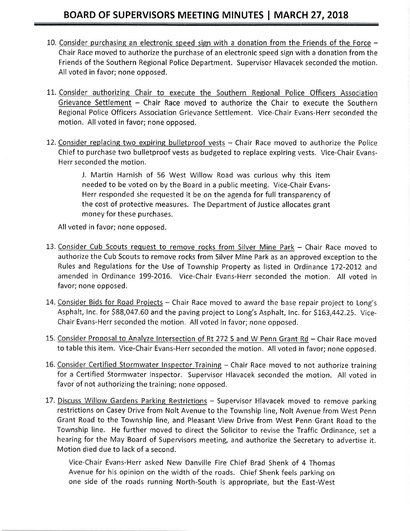- 10. Consider purchasing an electronic speed sign with a donation from the Friends of the Force  $-$ Chair Race moved to authorize the purchase of an electronic speed sign with a donation from the Friends of the Southern Regional Police Department. Supervisor Hlavacek seconded the motion. All voted in favor; none opposed.
- 11. Consider authorizing Chair to execute the Southern Regional Police Officers Association Grievance Settlement  $-$  Chair Race moved to authorize the Chair to execute the Southern Regional Police Officers Association Grievance Settlement. Vice-Chair Evans-Herr seconded the motion. All voted in favor; none opposed.
- 12. Consider replacing two expiring bulletproof vests  $-$  Chair Race moved to authorize the Police Chief to purchase two bulletproof vests as budgeted to replace expiring vests. Vice-Chair Evans-Herr seconded the motion.

J. Martin Harnish of 56 West Willow Road was curious why this item needed to be voted on by the Board in a public meeting. Vice-Chair Evans-Herr responded she requested it be on the agenda for full transparency of the cost of protective measures. The Department of Justice allocates grant money for these purchases.

All voted in favor; none opposed.

- 13. Consider Cub Scouts request to remove rocks from Silver Mine Park Chair Race moved to authorize the Cub Scouts to remove rocks from Silver Mine Park as an approved exception to the Rules and Regulations for the Use of Township Property as listed in Ordinance 172-2012 and amended in Ordinance 199-2016, Vice-Chair Evans-Herr seconded the motion. All voted in favor; none opposed.
- 14. Consider Bids for Road Projects Chair Race moved to award the base repair project to Long's Asphalt, Inc. for \$88,047.60 and the paving project to Long's Asphalt, Inc. for \$163,442.25. Vice-Chair Evans-Herr seconded the motion, All voted in favor; none opposed.
- 15. Consider Proposal to Analyze Intersection of Rt 272 S and W Penn Grant Rd Chair Race moved to table this item. Vice-Chair Evans-Herr seconded the motion. All voted in favor; none opposed.
- 16. Consider Certified Stormwater Inspector Training Chair Race moved to not authorize training for a Certified Stormwater Inspector. Supervisor Hlavacek seconded the motion. All voted in favor of not authorizing the training; none opposed.
- 17. Discuss Willow Gardens Parking Restrictions Supervisor Hlavacek moved to remove parking restrictions on Casey Drive from Nolt Avenue to the Township line, Nolt Avenue from West Penn Grant Road to the Township line, and Pleasant View Drive from West Penn Grant Road to the Township line. He further moved to direct the Solicitor to revise the Traffic Ordinance, set <sup>a</sup> hearing for the May Board of Supervisors meeting, and authorize the Secretary to advertise it, Motion died due to lack of a second.

Vice-Chair Evans-Herr asked New Danville Fire Chief Brad Shenk of 4 Thomas Avenue for his opinion on the width of the roads. Chief Shenk feels parking on one side of the roads running North-South is appropriate, but the East-West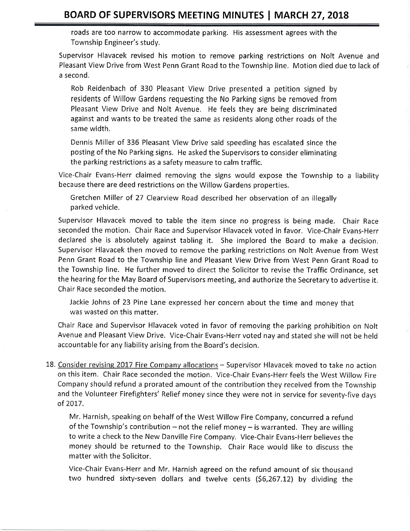roads are too narrow to accommodate parking. His assessment agrees with the Township Engineer's study.

Supervisor Hlavacek revised his motion to remove parking restrictions on Nolt Avenue and Pleasant View Drive from West Penn Grant Road to the Township line. Motion died due to lack of a second.

Rob Reidenbach of 330 Pleasant View Drive presented a petition signed by residents of Willow Gardens requesting the No Parking signs be removed from Pleasant View Drive and Nolt Avenue, He feels they are being discriminated against and wants to be treated the same as residents along other roads of the same width.

Dennis Miller of 336 Pleasant View Drive said speeding has escalated since the posting of the No Parking signs, He asked the Supervisors to consider eliminating the parking restrictions as a safety measure to calm traffic.

Vice-Chair Evans-Herr claimed removing the signs would expose the Township to a liability because there are deed restrictions on the Willow Gardens properties.

Gretchen Miller of 27 Clearview Road described her observation of an illegally parked vehicle.

Supervisor Hlavacek moved to table the item since no progress is being made. Chair Race seconded the motion, Chair Race and Supervisor Hlavacek voted in favor. Vice-Chair Evans-Herr declared she is absolutely against tabling it. She implored the Board to make a decision, Supervisor Hlavacek then moved to remove the parking restrictions on Nolt Avenue from West Penn Grant Road to the Township line and Pleasant View Drive from West Penn Grant Road to the Township line. He further moved to direct the Solicitor to revise the Traffic Ordinance, set the hearing for the May Board of Supervisors meeting, and authorize the Secretary to advertise it. Chair Race seconded the motion.

Jackie Johns of 23 Pine Lane expressed her concern about the time and money that was wasted on this matter.

Chair Race and Supervisor Hlavacek voted in favor of removing the parking prohibition on Nolt Avenue and Pleasant View Drive, Vice-Chair Evans-Herr voted nay and stated she will not be held accountable for any liability arising from the Board's decision.

18. Consider revising 2017 Fire Company allocations - Supervisor Hlavacek moved to take no action on this item, Chair Race seconded the motion, Vice-Chair Evans-Herr feels the West Willow Fire Company should refund a prorated amount of the contribution they received from the Township and the Volunteer Firefighters' Relief money since they were not in service for seventy-five days of 2017.

Mr. Harnish, speaking on behalf of the West Willow Fire Company, concurred a refund of the Township's contribution  $-$  not the relief money  $-$  is warranted. They are willing to write a check to the New Danville Fire Company. Vice-Chair Evans-Herr believes the money should be returned to the Township. Chair Race would like to discuss the matter with the Solicitor.

Vice-Chair Evans-Herr and Mr. Harnish agreed on the refund amount of six thousand two hundred sixty-seven dollars and twelve cents (\$6,267.12) by dividing the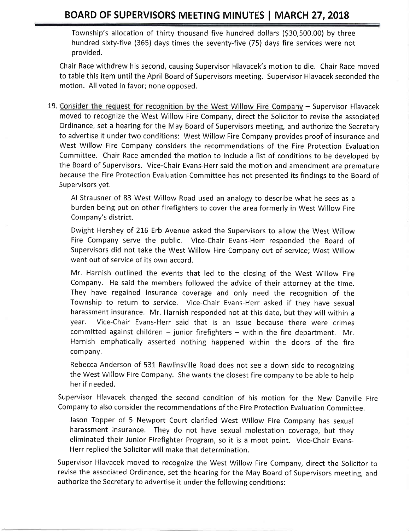## BOARD OF SUPERVISORS MEETING MINUTES | MARCH 27, 2018

Township's allocation of thirty thousand five hundred dollars (530,500.00) by three hundred sixty-five (365) days times the seventy-five (75) days fire services were not provided.

Chair Race withdrew his second, causing Supervisor Hlavacek's motion to die. Chair Race moved to table this item until the April Board of Supervisors meeting. Supervisor Hlavacek seconded the motion. All voted in favor; none opposed,

19. Consider the request for recognition by the West Willow Fire Company  $-$  Supervisor Hlavacek moved to recognize the West Willow Fire Company, direct the Solicitor to revise the associated Ordinance, set a hearing for the May Board of Supervisors meeting, and authorize the Secretary to advertise it under two conditions: West Willow Fire Company provides proof of insurance and West Willow Fire Company considers the recommendations of the Fire Protection Evaluation Committee. Chair Race amended the motion to include a list of conditions to be developed by the Board of Supervisors. Vice-Chair Evans-Herr said the motion and amendment are premature because the Fire Protection Evaluation Committee has not presented its findings to the Board of Supervisors yet.

Al Strausner of 83 West Willow Road used an analogy to describe what he sees as <sup>a</sup> burden being put on other firefighters to cover the area formerly in West Willow Fire Company's district.

Dwight Hershey of 216 Erb Avenue asked the Supervisors to allow the West Willow Fire Company serve the public, Vice-Chair Evans-Herr responded the Board of Supervisors did not take the West Willow Fire Company out of service; West Willow went out of service of its own accord.

Mr. Harnish outlined the events that led to the closing of the West Willow Fire Company. He said the members followed the advice of their attorney at the time. They have regained insurance coverage and only need the recognition of the Township to return to service. Vice-Chair Evans-Herr asked if they have sexual harassment insurance. Mr. Harnish responded not at this date, but they will within <sup>a</sup> year. Vice-Chair Evans-Herr said that is an issue because there were crimes committed against children - junior firefighters - within the fire department. Mr. Harnish emphatically asserted nothing happened within the doors of the fire company.

Rebecca Anderson of 531 Rawlinsville Road does not see a down side to recognizing the West Willow Fire Company. She wants the closest fire company to be able to help her if needed.

Supervisor Hlavacek changed the second condition of his motion for the New Danville Fire Company to also consider the recommendations of the Fire Protection Evaluation Committee.

Jason Topper of 5 Newport Court clarified West Willow Fire Company has sexual harassment insurance. They do not have sexual molestation coverage, but they eliminated their Junior Firefighter Program, so it is a moot point. Vice-Chair Evans-Herr replied the Solicitor will make that determination,

Supervisor Hlavacek moved to recognize the West Willow Fire Company, direct the Solicitor to revise the associated Ordinance, set the hearing for the May Board of Supervisors meeting, and authorize the Secretary to advertise it under the following conditions: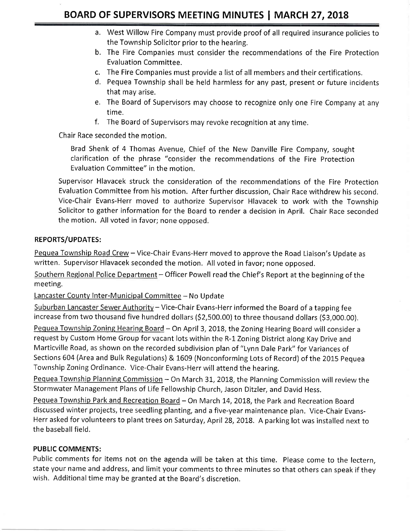- a. West Willow Fire Company must provide proof of all required insurance policies to the Township Solicitor prior to the hearing.
- b. The Fire Companies must consider the recommendations of the Fire Protection Evaluation Committee.
- c. The Fire Companies must provide a list of all members and their certifications.
- d. Pequea Township shall be held harmless for any past, present or future incidents that may arise.
- e. The Board of Supervisors may choose to recognize only one Fire Company at any time.
- <sup>f</sup>, The Board of Supervisors may revoke recognition at any time.

Chair Race seconded the motion.

Brad Shenk of 4 Thomas Avenue, Chief of the New Danville Fire Company, sought clarification of the phrase "consider the recommendations of the Fire Protection Evaluation Committee" in the motion.

Supervisor Hlavacek struck the consideration of the recommendations of the Fire Protection Evaluation Committee from his motion. After further discussion, Chair Race withdrew his second. Vice-Chair Evans-Herr moved to authorize Supervisor Hlavacek to work with the Township Solicitor to gather information for the Board to render a decision in April. Chair Race seconded the motion. All voted in favor; none opposed.

## REPORTS/UPDATES:

Pequea Township Road Crew - Vice-Chair Evans-Herr moved to approve the Road Liaison's Update as written. Supervisor Hlavacek seconded the motion. All voted in favor; none opposed.

Southern Regional Police Department - Officer Powell read the Chief's Report at the beginning of the meeting,

Lancaster County Inter-Municipal Committee - No Update

Suburban Lancaster Sewer Authority – Vice-Chair Evans-Herr informed the Board of a tapping fee increase from two thousand five hundred dollars (\$2,500.00) to three thousand dollars (\$3,000.00).

Pequea Township Zoning Hearing Board - On April 3, 2018, the Zoning Hearing Board will consider a request by Custom Home Group for vacant lots within the R-1 Zoning District along Kay Drive and Marticville Road, as shown on the recorded subdivision plan of "Lynn Dale Park" for Variances of Sections 604 (Area and Bulk Regulations) & 1609 (Nonconforming Lots of Record) of the 2015 pequea Township Zoning Ordinance. Vice-Chair Evans-Herr will attend the hearing.

Pequea Township Planning Commission - On March 31, 2018, the Planning Commission will review the Stormwater Management Plans of Life Fellowship Church, Jason Ditzler, and David Hess.

Pequea Township Park and Recreation Board - On March 14, 2018, the Park and Recreation Board discussed winter projects, tree seedling planting, and a five-year maintenance plan. Vice-Chair Evans-Herr asked for volunteers to plant trees on Saturday, April 28,2018. A parking lot was installed next to the baseball field.

### PUBLIC COMMENTS:

Public comments for items not on the agenda will be taken at this time. Please come to the lectern, state your name and address, and limit your comments to three minutes so that others can speak if they wish. Additional time may be granted at the Board's discretion.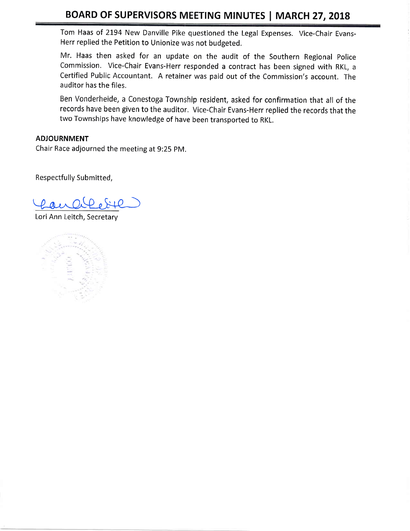## BOARD OF SUPERVISORS MEETING MINUTES | MARCH 27, 2018

Tom Haas of 2194 New Danville Pike questioned the Legal Expenses. \/ice-Chair Evans-Herr replied the Petition to Unionize was not budgeted.

Mr. Haas then asked for an update on the audit of the Southern Regional police Commission. Vice-Chair Evans-Herr responded a contract has been signed with RKL, <sup>a</sup> Certified Public Accountant. A retainer was paid out of the Commission's account. The auditor has the files.

Ben Vonderheide, a Conestoga Township resident, asked for confirmation that all of the records have been given to the auditor. Vice-Chair Evans-Herr replied the records that the two Townships have knowledge of have been transported to RKL,

#### ADJOURNMENT

Chair Race adjourned the meeting at 9:25 pM,

Respectfully Submitted,

 $\rho$  and  $\Omega$   $\rho$   $\Omega$ 

Lori Ann Leitch, Secretary

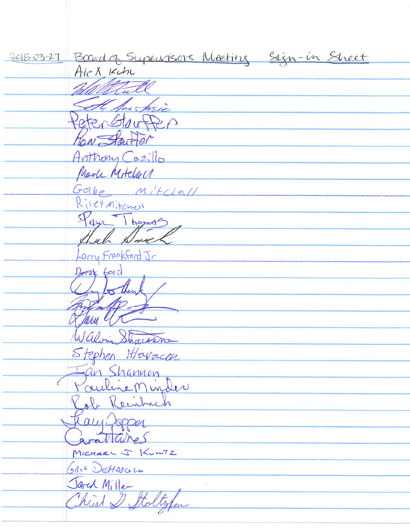2018-03-27 Board of Supervisors Meeting Sign-in Sheet Alex Kch Mall A Sustasio eterGlauffer You Starter Arithony Cazillo Marke Mitchell Gabe Mitclell Rilet Mitchell Paye Thomas al Dove arry Frankford Jr Deret Good Tom e Walvin Showers Stephen Hlovacen Jan Shannon<br>Pouline Minder Rob Reinhach Kany Jopper gratiques MICHARL J KUNTZ GREE DEMASCOLO Jarch Mille Christ I Stoltzfur